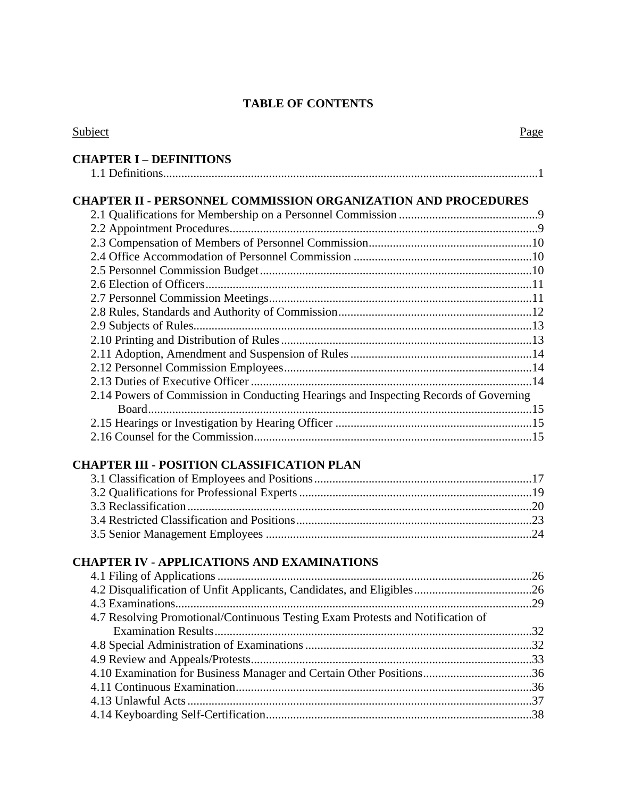### **TABLE OF CONTENTS**

| Subject                                                                              | Page |
|--------------------------------------------------------------------------------------|------|
| <b>CHAPTER I - DEFINITIONS</b>                                                       |      |
|                                                                                      |      |
|                                                                                      |      |
| <b>CHAPTER II - PERSONNEL COMMISSION ORGANIZATION AND PROCEDURES</b>                 |      |
|                                                                                      |      |
|                                                                                      |      |
|                                                                                      |      |
|                                                                                      |      |
|                                                                                      |      |
|                                                                                      |      |
|                                                                                      |      |
|                                                                                      |      |
|                                                                                      |      |
|                                                                                      |      |
|                                                                                      |      |
|                                                                                      |      |
|                                                                                      |      |
| 2.14 Powers of Commission in Conducting Hearings and Inspecting Records of Governing |      |
|                                                                                      |      |
|                                                                                      |      |
|                                                                                      |      |
|                                                                                      |      |
| <b>CHAPTER III - POSITION CLASSIFICATION PLAN</b>                                    |      |
|                                                                                      |      |
|                                                                                      |      |
|                                                                                      |      |
|                                                                                      |      |
|                                                                                      |      |
|                                                                                      |      |
| <b>CHAPTER IV - APPLICATIONS AND EXAMINATIONS</b>                                    |      |
| 4.1 Filing of Applications                                                           | 26   |
|                                                                                      |      |
|                                                                                      |      |
| 4.7 Resolving Promotional/Continuous Testing Exam Protests and Notification of       |      |
|                                                                                      |      |
|                                                                                      |      |
|                                                                                      |      |
| 4.10 Examination for Business Manager and Certain Other Positions36                  |      |
|                                                                                      |      |
|                                                                                      |      |
|                                                                                      |      |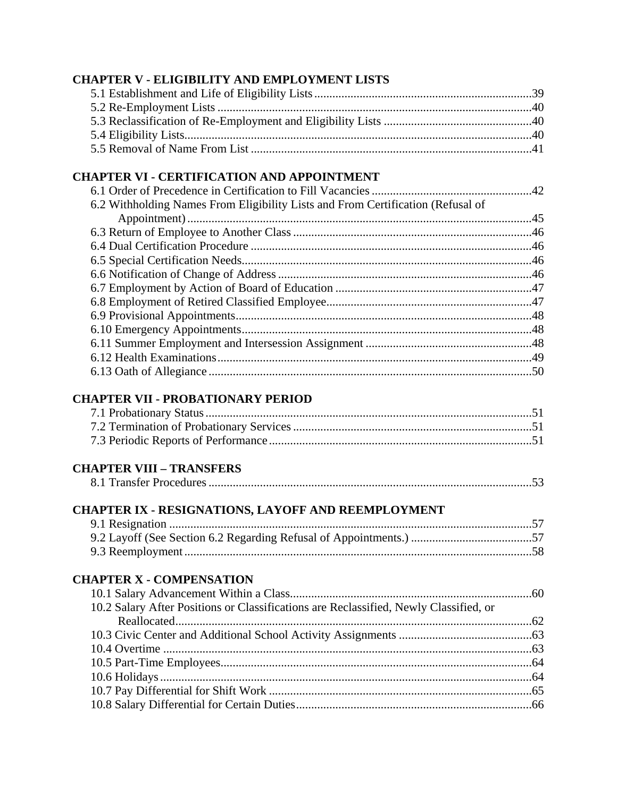#### **CHAPTER V - ELIGIBILITY AND EMPLOYMENT LISTS**

### **CHAPTER VI - CERTIFICATION AND APPOINTMENT**

| 6.2 Withholding Names From Eligibility Lists and From Certification (Refusal of |  |
|---------------------------------------------------------------------------------|--|
|                                                                                 |  |
|                                                                                 |  |
|                                                                                 |  |
|                                                                                 |  |
|                                                                                 |  |
|                                                                                 |  |
|                                                                                 |  |
|                                                                                 |  |
|                                                                                 |  |
|                                                                                 |  |
|                                                                                 |  |
|                                                                                 |  |

#### **CHAPTER VII - PROBATIONARY PERIOD**

## **CHAPTER VIII – TRANSFERS**

|--|

# **CHAPTER IX - RESIGNATIONS, LAYOFF AND REEMPLOYMENT**

#### **CHAPTER X - COMPENSATION**

| 10.2 Salary After Positions or Classifications are Reclassified, Newly Classified, or |  |
|---------------------------------------------------------------------------------------|--|
|                                                                                       |  |
|                                                                                       |  |
|                                                                                       |  |
|                                                                                       |  |
|                                                                                       |  |
|                                                                                       |  |
|                                                                                       |  |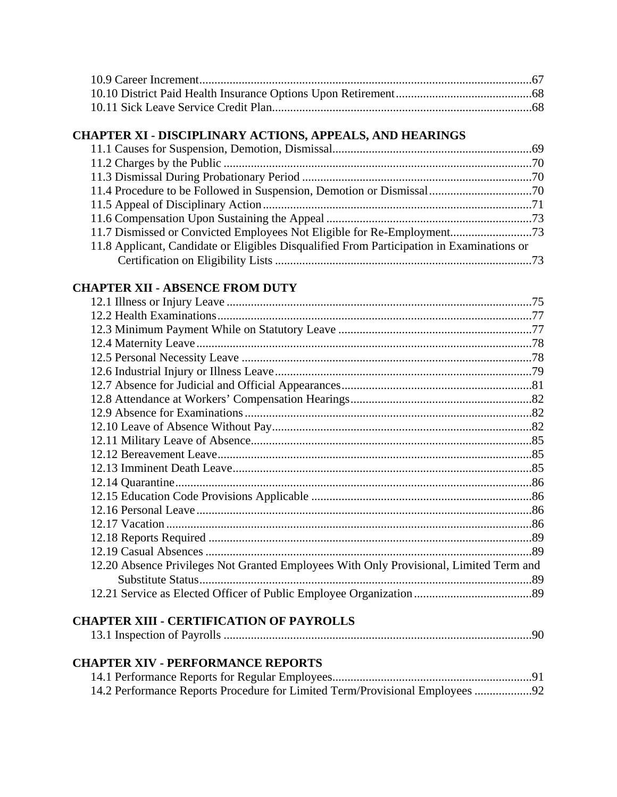## **CHAPTER XI - DISCIPLINARY ACTIONS, APPEALS, AND HEARINGS**

| 11.8 Applicant, Candidate or Eligibles Disqualified From Participation in Examinations or |  |
|-------------------------------------------------------------------------------------------|--|
|                                                                                           |  |

#### **CHAPTER XII - ABSENCE FROM DUTY**

| 12.20 Absence Privileges Not Granted Employees With Only Provisional, Limited Term and |  |
|----------------------------------------------------------------------------------------|--|
|                                                                                        |  |
|                                                                                        |  |
|                                                                                        |  |
|                                                                                        |  |
|                                                                                        |  |
|                                                                                        |  |
|                                                                                        |  |
|                                                                                        |  |
|                                                                                        |  |
|                                                                                        |  |
|                                                                                        |  |
|                                                                                        |  |
|                                                                                        |  |
|                                                                                        |  |
|                                                                                        |  |
|                                                                                        |  |
|                                                                                        |  |
|                                                                                        |  |
|                                                                                        |  |
|                                                                                        |  |
|                                                                                        |  |

#### **CHAPTER XIII - CERTIFICATION OF PAYROLLS**

|--|--|

#### **CHAPTER XIV - PERFORMANCE REPORTS**

| 14.2 Performance Reports Procedure for Limited Term/Provisional Employees 92 |  |
|------------------------------------------------------------------------------|--|